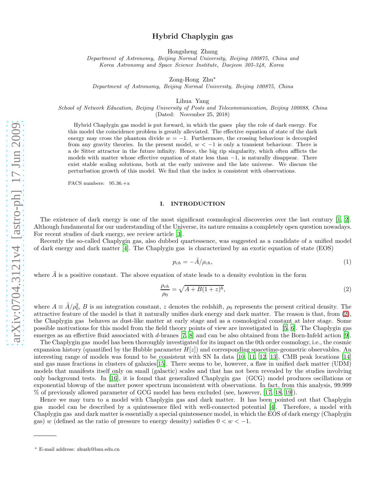# Hybrid Chaplygin gas

Hongsheng Zhang

Department of Astronomy, Beijing Normal University, Beijing 100875, China and Korea Astronomy and Space Science Institute, Daejeon 305-348, Korea

Zong-Hong Zhu<sup>∗</sup>

Department of Astronomy, Beijing Normal University, Beijing 100875, China

Lihua Yang

School of Network Education, Beijing University of Posts and Telecommunication, Beijing 100088, China (Dated: November 25, 2018)

Hybrid Chaplygin gas model is put forward, in which the gases play the role of dark energy. For this model the coincidence problem is greatly alleviated. The effective equation of state of the dark energy may cross the phantom divide  $w = -1$ . Furthermore, the crossing behaviour is decoupled from any gravity theories. In the present model,  $w < -1$  is only a transient behaviour. There is a de Sitter attractor in the future infinity. Hence, the big rip singularity, which often afflicts the models with matter whose effective equation of state less than  $-1$ , is naturally disappear. There exist stable scaling solutions, both at the early universe and the late universe. We discuss the perturbation growth of this model. We find that the index is consistent with observations.

PACS numbers: 95.36.+x

### I. INTRODUCTION

The existence of dark energy is one of the most significant cosmological discoveries over the last century [\[1](#page-9-0), [2\]](#page-9-1). Although fundamental for our understanding of the Universe, its nature remains a completely open question nowadays. For recent studies of dark energy, see review article [\[3\]](#page-9-2).

Recently the so-called Chaplygin gas, also dubbed quartessence, was suggested as a candidate of a unified model of dark energy and dark matter [\[4](#page-9-3)]. The Chaplygin gas is characterized by an exotic equation of state (EOS)

$$
p_{ch} = -\tilde{A}/\rho_{ch},\tag{1}
$$

where  $\tilde{A}$  is a positive constant. The above equation of state leads to a density evolution in the form

<span id="page-0-0"></span>
$$
\frac{\rho_{ch}}{\rho_0} = \sqrt{A + B(1+z)^6},\tag{2}
$$

where  $A = \tilde{A}/\rho_0^2$ , B is an integration constant, z denotes the redshift,  $\rho_0$  represents the present critical density. The attractive feature of the model is that it naturally unifies dark energy and dark matter. The reason is that, from [\(2\)](#page-0-0), the Chaplygin gas behaves as dust-like matter at early stage and as a cosmological constant at later stage. Some possible motivations for this model from the field theory points of view are investigated in [\[5](#page-9-4), [6](#page-9-5)]. The Chaplygin gas emerges as an effective fluid associated with d-branes [\[7,](#page-9-6) [8\]](#page-9-7) and can be also obtained from the Born-Infeld action [\[9\]](#page-9-8).

The Chaplygin gas model has been thoroughly investigated for its impact on the 0th order cosmology, i.e., the cosmic expansion history (quantified by the Hubble parameter  $H[z]$ ) and corresponding spacetime-geometric observables. An interesting range of models was found to be consistent with SN Ia data [\[10,](#page-9-9) [11,](#page-9-10) [12](#page-9-11), [13](#page-9-12)], CMB peak locations [\[14](#page-9-13)] and gas mass fractions in clusters of galaxies[\[15\]](#page-9-14). There seems to be, however, a flaw in unified dark matter (UDM) models that manifests itself only on small (galactic) scales and that has not been revealed by the studies involving only background tests. In [\[16](#page-9-15)], it is found that generalized Chaplygin gas (GCG) model produces oscillations or exponential blowup of the matter power spectrum inconsistent with observations. In fact, from this analysis, 99.999 % of previously allowed parameter of GCG model has been excluded (see, however, [\[17,](#page-9-16) [18,](#page-9-17) [19\]](#page-9-18)).

Hence we may turn to a model with Chaplygin gas and dark matter. It has been pointed out that Chaplygin gas model can be described by a quintessence filed with well-connected potential [\[4](#page-9-3)]. Therefore, a model with Chaplygin gas and dark matter is essentially a special quintessence model, in which the EOS of dark energy (Chaplygin gas) w (defined as the ratio of pressure to energy density) satisfies  $0 < w < -1$ .

<sup>∗</sup> E-mail address: zhuzh@bnu.edu.cn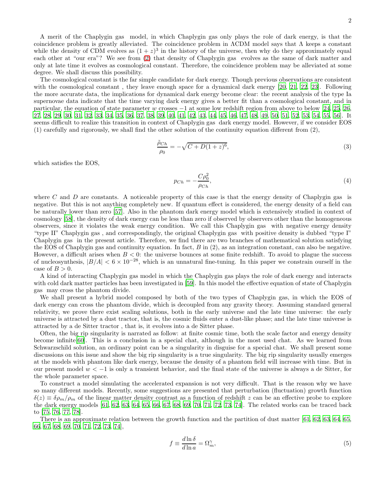A merit of the Chaplygin gas model, in which Chaplygin gas only plays the role of dark energy, is that the coincidence problem is greatly alleviated. The coincidence problem in  $\Lambda$ CDM model says that  $\Lambda$  keeps a constant while the density of CDM evolves as  $(1+z)^3$  in the history of the universe, then why do they approximately equal each other at "our era"? We see from [\(2\)](#page-0-0) that density of Chaplygin gas evolves as the same of dark matter and only at late time it evolves as cosmological constant. Therefore, the coincidence problem may be alleviated at some degree. We shall discuss this possibility.

The cosmological constant is the far simple candidate for dark energy. Though previous observations are consistent with the cosmological constant, they leave enough space for a dynamical dark energy [\[20,](#page-9-19) [21,](#page-9-20) [22](#page-9-21), [23](#page-9-22)]. Following the more accurate data, the implications for dynamical dark energy become clear: the recent analysis of the type Ia supernovae data indicate that the time varying dark energy gives a better fit than a cosmological constant, and in particular, the equation of state parameter w crosses  $-1$  at some low redshift region from above to below [\[24,](#page-9-23) [25](#page-9-24), [26](#page-9-25), [27,](#page-9-26) [28,](#page-9-27) [29](#page-9-28), [30,](#page-9-29) [31](#page-9-30), [32,](#page-9-31) [33](#page-9-32), [34,](#page-9-33) [35](#page-9-34), [36,](#page-9-35) [37](#page-9-36), [38,](#page-9-37) [39,](#page-9-38) [40,](#page-9-39) [41,](#page-9-40) [42,](#page-9-41) [43,](#page-9-42) [44](#page-9-43), [45,](#page-9-44) [46](#page-9-45), [47,](#page-9-46) [48](#page-9-47), [49,](#page-9-48) [50](#page-9-49), [51,](#page-9-50) [52](#page-10-0), [53,](#page-10-1) [54,](#page-10-2) [55,](#page-10-3) [56\]](#page-10-4). It seems difficult to realize this transition in context of Chaplygin gas dark energy model. However, if we consider EOS (1) carefully and rigorously, we shall find the other solution of the continuity equation different from (2),

$$
\frac{\tilde{\rho}_{Ch}}{\rho_0} = -\sqrt{C + D(1+z)^6},\tag{3}
$$

which satisfies the EOS,

$$
p_{Ch} = -\frac{C\rho_0^2}{\rho_{Ch}},\tag{4}
$$

where C and D are constants. A noticeable property of this case is that the energy density of Chaplygin gas is negative. But this is not anything completely new. If quantum effect is considered, the energy density of a field can be naturally lower than zero [\[57\]](#page-10-5). Also in the phantom dark energy model which is extensively studied in context of cosmology [\[58](#page-10-6)], the density of dark energy can be less than zero if observed by observers other than the homogeneous observers, since it violates the weak energy condition. We call this Chaplygin gas with negative energy density "type II" Chaplygin gas , and correspondingly, the original Chaplygin gas with positive density is dubbed "type I" Chaplygin gas in the present article. Therefore, we find there are two branches of mathematical solution satisfying the EOS of Chaplygin gas and continuity equation. In fact,  $B$  in  $(2)$ , as an integration constant, can also be negative. However, a difficult arises when  $B < 0$ : the universe bounces at some finite redshift. To avoid to plague the success of nucleosynthesis,  $|B/A| < 6 \times 10^{-28}$ , which is an unnatural fine-tuning. In this paper we constrain ourself in the case of  $B > 0$ .

A kind of interacting Chaplygin gas model in which the Chaplygin gas plays the role of dark energy and interacts with cold dark matter particles has been investigated in [\[59\]](#page-10-7). In this model the effective equation of state of Chaplygin gas may cross the phantom divide.

We shall present a hybrid model composed by both of the two types of Chaplygin gas, in which the EOS of dark energy can cross the phantom divide, which is decoupled from any gravity theory. Assuming standard general relativity, we prove there exist scaling solutions, both in the early universe and the late time universe: the early universe is attracted by a dust tractor, that is, the cosmic fluids enter a dust-like phase; and the late time universe is attracted by a de Sitter tractor , that is, it evolves into a de Sitter phase.

Often, the big rip singularity is narrated as follow: at finite cosmic time, both the scale factor and energy density become infinite[\[60\]](#page-10-8). This is a conclusion in a special chat, although in the most used chat. As we learned from Schwarzschild solution, an ordinary point can be a singularity in disguise for a special chat. We shall present some discussions on this issue and show the big rip singularity is a true singularity. The big rip singularity usually emerges at the models with phantom like dark energy, because the density of a phantom field will increase with time. But in our present model  $w < -1$  is only a transient behavior, and the final state of the universe is always a de Sitter, for the whole parameter space.

To construct a model simulating the accelerated expansion is not very difficult. That is the reason why we have so many different models. Recently, some suggestions are presented that perturbation (fluctuation) growth function  $\delta(z) \equiv \delta \rho_m / \rho_m$  of the linear matter density contrast as a function of redshift z can be an effective probe to explore the dark energy models [\[61](#page-10-9), [62,](#page-10-10) [63,](#page-10-11) [64](#page-10-12), [65,](#page-10-13) [66,](#page-10-14) [67](#page-10-15), [68,](#page-10-16) [69,](#page-10-17) [70,](#page-10-18) [71,](#page-10-19) [72](#page-10-20), [73](#page-10-21), [74\]](#page-10-22). The related works can be traced back to [\[75,](#page-10-23) [76,](#page-10-24) [77,](#page-10-25) [78](#page-10-26)].

There is an approximate relation between the growth function and the partition of dust matter [\[61](#page-10-9), [62](#page-10-10), [63](#page-10-11), [64](#page-10-12), [65](#page-10-13), [66,](#page-10-14) [67](#page-10-15), [68](#page-10-16), [69](#page-10-17), [70](#page-10-18), [71](#page-10-19), [72](#page-10-20), [73](#page-10-21), [74](#page-10-22)],

<span id="page-1-0"></span>
$$
f \equiv \frac{d \ln \delta}{d \ln a} = \Omega_m^{\gamma},\tag{5}
$$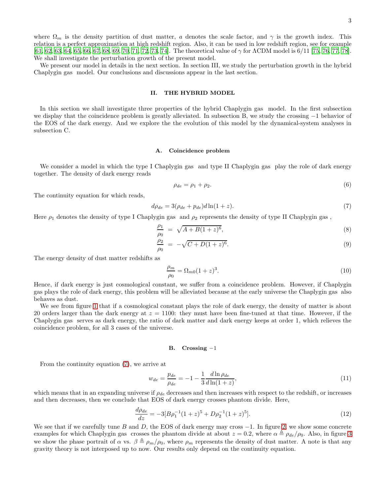where  $\Omega_m$  is the density partition of dust matter, a denotes the scale factor, and  $\gamma$  is the growth index. This relation is a perfect approximation at high redshift region. Also, it can be used in low redshift region, see for example  $[61, 62, 63, 64, 65, 66, 67, 68, 69, 70, 71, 72, 73, 74]$  $[61, 62, 63, 64, 65, 66, 67, 68, 69, 70, 71, 72, 73, 74]$  $[61, 62, 63, 64, 65, 66, 67, 68, 69, 70, 71, 72, 73, 74]$  $[61, 62, 63, 64, 65, 66, 67, 68, 69, 70, 71, 72, 73, 74]$  $[61, 62, 63, 64, 65, 66, 67, 68, 69, 70, 71, 72, 73, 74]$  $[61, 62, 63, 64, 65, 66, 67, 68, 69, 70, 71, 72, 73, 74]$  $[61, 62, 63, 64, 65, 66, 67, 68, 69, 70, 71, 72, 73, 74]$  $[61, 62, 63, 64, 65, 66, 67, 68, 69, 70, 71, 72, 73, 74]$  $[61, 62, 63, 64, 65, 66, 67, 68, 69, 70, 71, 72, 73, 74]$  $[61, 62, 63, 64, 65, 66, 67, 68, 69, 70, 71, 72, 73, 74]$  $[61, 62, 63, 64, 65, 66, 67, 68, 69, 70, 71, 72, 73, 74]$  $[61, 62, 63, 64, 65, 66, 67, 68, 69, 70, 71, 72, 73, 74]$  $[61, 62, 63, 64, 65, 66, 67, 68, 69, 70, 71, 72, 73, 74]$  $[61, 62, 63, 64, 65, 66, 67, 68, 69, 70, 71, 72, 73, 74]$  $[61, 62, 63, 64, 65, 66, 67, 68, 69, 70, 71, 72, 73, 74]$  $[61, 62, 63, 64, 65, 66, 67, 68, 69, 70, 71, 72, 73, 74]$  $[61, 62, 63, 64, 65, 66, 67, 68, 69, 70, 71, 72, 73, 74]$  $[61, 62, 63, 64, 65, 66, 67, 68, 69, 70, 71, 72, 73, 74]$  $[61, 62, 63, 64, 65, 66, 67, 68, 69, 70, 71, 72, 73, 74]$  $[61, 62, 63, 64, 65, 66, 67, 68, 69, 70, 71, 72, 73, 74]$ . The theoretical value of  $\gamma$  for  $\Lambda$ CDM model is  $6/11$  [\[75](#page-10-23), [76,](#page-10-24) [77](#page-10-25), [78\]](#page-10-26). We shall investigate the perturbation growth of the present model.

We present our model in details in the next section. In section III, we study the perturbation growth in the hybrid Chaplygin gas model. Our conclusions and discussions appear in the last section.

## II. THE HYBRID MODEL

In this section we shall investigate three properties of the hybrid Chaplygin gas model. In the first subsection we display that the coincidence problem is greatly alleviated. In subsection B, we study the crossing −1 behavior of the EOS of the dark energy. And we explore the the evolution of this model by the dynamical-system analyses in subsection C.

#### A. Coincidence problem

We consider a model in which the type I Chaplygin gas and type II Chaplygin gas play the role of dark energy together. The density of dark energy reads

$$
\rho_{de} = \rho_1 + \rho_2. \tag{6}
$$

The continuity equation for which reads,

<span id="page-2-0"></span>
$$
d\rho_{de} = 3(\rho_{de} + p_{de})d\ln(1+z). \tag{7}
$$

Here  $\rho_1$  denotes the density of type I Chaplygin gas and  $\rho_2$  represents the density of type II Chaplygin gas,

<span id="page-2-1"></span>
$$
\frac{\rho_1}{\rho_0} = \sqrt{A + B(1+z)^6},\tag{8}
$$

$$
\frac{\rho_2}{\rho_0} = -\sqrt{C + D(1+z)^6}.
$$
\n(9)

The energy density of dust matter redshifts as

$$
\frac{\rho_m}{\rho_0} = \Omega_{m0}(1+z)^3.
$$
\n(10)

Hence, if dark energy is just cosmological constant, we suffer from a coincidence problem. However, if Chaplygin gas plays the role of dark energy, this problem will be alleviated because at the early universe the Chaplygin gas also behaves as dust.

We see from figure [1](#page-3-0) that if a cosmological constant plays the role of dark energy, the density of matter is about 20 orders larger than the dark energy at  $z = 1100$ : they must have been fine-tuned at that time. However, if the Chaplygin gas serves as dark energy, the ratio of dark matter and dark energy keeps at order 1, which relieves the coincidence problem, for all 3 cases of the universe.

#### B. Crossing  $-1$

From the continuity equation [\(7\)](#page-2-0), we arrive at

$$
w_{de} = \frac{p_{de}}{\rho_{de}} = -1 - \frac{1}{3} \frac{d \ln \rho_{de}}{d \ln(1+z)},
$$
\n(11)

which means that in an expanding universe if  $\rho_{de}$  decreases and then increases with respect to the redshift, or increases and then decreases, then we conclude that EOS of dark energy crosses phantom divide. Here,

$$
\frac{d\rho_{de}}{dz} = -3[B\rho_1^{-1}(1+z)^5 + D\rho_2^{-1}(1+z)^5].\tag{12}
$$

We see that if we carefully tune B and D, the EOS of dark energy may cross  $-1$ . In figure [2,](#page-3-1) we show some concrete examples for which Chaplygin gas crosses the phantom divide at about  $z = 0.2$ , where  $\alpha \triangleq \rho_{de}/\rho_0$ . Also, in figure [3](#page-4-0) we show the phase portrait of  $\alpha$  vs.  $\beta \triangleq \rho_m/\rho_0$ , where  $\rho_m$  represents the density of dust matter. A note is that any gravity theory is not interposed up to now. Our results only depend on the continuity equation.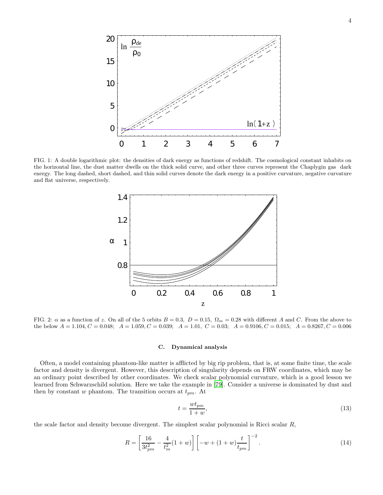

15

20

ln

 $\rho_0$ 

 $\rho_{de}$ 

<span id="page-3-0"></span>FIG. 1: A double logarithmic plot: the densities of dark energy as functions of redshift. The cosmological constant inhabits on the horizontal line, the dust matter dwells on the thick solid curve, and other three curves represent the Chaplygin gas dark energy. The long dashed, short dashed, and thin solid curves denote the dark energy in a positive curvature, negative curvature and flat universe, respectively.



<span id="page-3-1"></span>FIG. 2:  $\alpha$  as a function of z. On all of the 5 orbits  $B = 0.3$ ,  $D = 0.15$ ,  $\Omega_m = 0.28$  with different A and C. From the above to the below  $A = 1.104$ ,  $C = 0.048$ ;  $A = 1.059$ ,  $C = 0.039$ ;  $A = 1.01$ ,  $C = 0.03$ ;  $A = 0.9106$ ,  $C = 0.015$ ;  $A = 0.8267$ ,  $C = 0.006$ 

## C. Dynamical analysis

Often, a model containing phantom-like matter is afflicted by big rip problem, that is, at some finite time, the scale factor and density is divergent. However, this description of singularity depends on FRW coordinates, which may be an ordinary point described by other coordinates. We check scalar polynomial curvature, which is a good lesson we learned from Schwarzschild solution. Here we take the example in [\[79\]](#page-10-27). Consider a universe is dominated by dust and then by constant w phantom. The transition occurs at  $t_{pm}$ . At

$$
t = \frac{wt_{pm}}{1+w},\tag{13}
$$

the scale factor and density become divergent. The simplest scalar polynomial is Ricci scalar R,

$$
R = \left[\frac{16}{3t_{pm}^2} - \frac{4}{t_m^2}(1+w)\right] \left[-w + (1+w)\frac{t}{t_{pm}}\right]^{-2}.
$$
 (14)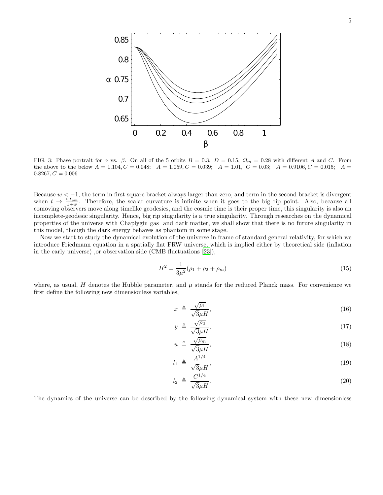<span id="page-4-0"></span>FIG. 3: Phase portrait for  $\alpha$  vs.  $\beta$ . On all of the 5 orbits  $B = 0.3$ ,  $D = 0.15$ ,  $\Omega_m = 0.28$  with different A and C. From the above to the below  $A = 1.104$ ,  $C = 0.048$ ;  $A = 1.059$ ,  $C = 0.039$ ;  $A = 1.01$ ,  $C = 0.03$ ;  $A = 0.9106$ ,  $C = 0.015$ ;  $A =$  $0.8267, C = 0.006$ 

0.65

0.7

0.8

0.85

 $\alpha$  0.75

0 0.2 0.4 0.6 0.8 1 β

Because  $w < -1$ , the term in first square bracket always larger than zero, and term in the second bracket is divergent when  $t \to \frac{wt_{pm}}{1+w}$ . Therefore, the scalar curvature is infinite when it goes to the big rip point. Also, because all comoving observers move along timelike geodesics, and the cosmic time is their proper time, this singularity is also an incomplete-geodesic singularity. Hence, big rip singularity is a true singularity. Through researches on the dynamical properties of the universe with Chaplygin gas and dark matter, we shall show that there is no future singularity in this model, though the dark energy behaves as phantom in some stage.

Now we start to study the dynamical evolution of the universe in frame of standard general relativity, for which we introduce Friedmann equation in a spatially flat FRW universe, which is implied either by theoretical side (inflation in the early universe) ,or observation side (CMB fluctuations [\[23\]](#page-9-22)),

<span id="page-4-1"></span>
$$
H^2 = \frac{1}{3\mu^2} (\rho_1 + \rho_2 + \rho_m) \tag{15}
$$

where, as usual,  $H$  denotes the Hubble parameter, and  $\mu$  stands for the reduced Planck mass. For convenience we first define the following new dimensionless variables,

$$
x \triangleq \frac{\sqrt{\rho_1}}{\sqrt{3}\mu H},\tag{16}
$$

$$
y \triangleq \frac{\sqrt{\rho_2}}{\sqrt{3}\mu H},\tag{17}
$$

$$
u \triangleq \frac{\sqrt{\rho_m}}{\sqrt{3}\mu H},\tag{18}
$$

$$
l_1 \triangleq \frac{A^{1/4}}{\sqrt{3}\mu H},\tag{19}
$$

$$
l_2 \triangleq \frac{C^{1/4}}{\sqrt{3}\mu H}.\tag{20}
$$

The dynamics of the universe can be described by the following dynamical system with these new dimensionless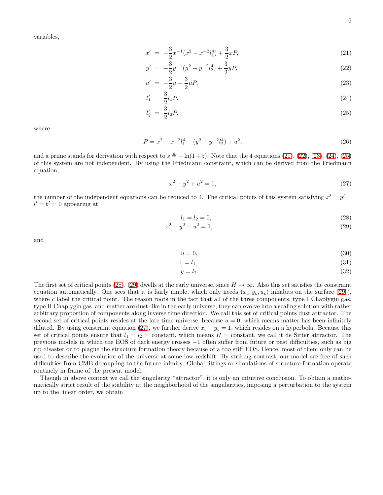variables,

<span id="page-5-0"></span>
$$
x' = -\frac{3}{2}x^{-1}(x^2 - x^{-2}l_1^4) + \frac{3}{2}xP,
$$
\n(21)

$$
y' = -\frac{3}{2}y^{-1}(y^2 - y^{-2}l_2^4) + \frac{3}{2}yP,
$$
\n(22)

$$
u' = -\frac{3}{2}u + \frac{3}{2}uP,
$$
\n(23)

$$
l_1' = \frac{3}{2}l_1P,\tag{24}
$$

$$
l_2' = \frac{3}{2}l_2P,\tag{25}
$$

where

<span id="page-5-3"></span>
$$
P = x^2 - x^{-2}l_1^4 - (y^2 - y^{-2}l_2^4) + u^2,
$$
\n(26)

and a prime stands for derivation with respect to  $s \triangleq -\ln(1+z)$ . Note that the 4 equations [\(21\)](#page-5-0), [\(22\)](#page-5-0), [\(23\)](#page-5-0), [\(24\)](#page-5-0), [\(25\)](#page-5-0) of this system are not independent. By using the Friedmann constraint, which can be derived from the Friedmann equation,

<span id="page-5-2"></span>
$$
x^2 - y^2 + u^2 = 1,\t\t(27)
$$

the number of the independent equations can be reduced to 4. The critical points of this system satisfying  $x' = y' =$  $l' = b' = 0$  appearing at

<span id="page-5-1"></span>
$$
l_1 = l_2 = 0,\t\t(28)
$$

$$
x^2 - y^2 + u^2 = 1,\t\t(29)
$$

and

<span id="page-5-4"></span>
$$
u = 0,\t\t(30)
$$

$$
x = l_1,\tag{31}
$$

$$
y = l_2. \tag{32}
$$

The first set of critical points [\(28\)](#page-5-1), [\(29\)](#page-5-1) dwells at the early universe, since  $H \to \infty$ . Also this set satisfies the constraint equation automatically. One sees that it is fairly ample, which only needs  $(x_c, y_c, u_c)$  inhabits on the surface [\(29](#page-5-1)), where c label the critical point. The reason roots in the fact that all of the three components, type I Chaplygin gas, type II Chaplygin gas and matter are dust-like in the early universe, they can evolve into a scaling solution with rather arbitrary proportion of components along inverse time direction. We call this set of critical points dust attractor. The second set of critical points resides at the late time universe, because  $u = 0$ , which means matter has been infinitely diluted. By using constraint equation [\(27\)](#page-5-2), we further derive  $x_c - y_c = 1$ , which resides on a hyperbola. Because this set of critical points ensure that  $l_1 = l_2 = \text{constant}$ , which means  $H = \text{constant}$ , we call it de Sitter attractor. The previous models in which the EOS of dark energy crosses −1 often suffer from future or past difficulties, such as big rip disaster or to plague the structure formation theory because of a too stiff EOS. Hence, most of them only can be used to describe the evolution of the universe at some low redshift. By striking contrast, our model are free of such difficulties from CMB decoupling to the future infinity. Global fittings or simulations of structure formation operate routinely in frame of the present model.

Though in above context we call the singularity "attractor", it is only an intuitive conclusion. To obtain a mathematically strict result of the stability at the neighborhood of the singularities, imposing a perturbation to the system up to the linear order, we obtain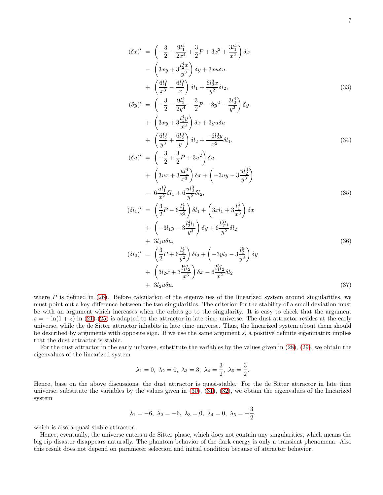$$
(\delta x)' = \left(-\frac{3}{2} - \frac{9l_1^4}{2x^4} + \frac{3}{2}P + 3x^2 + \frac{3l_1^4}{x^2}\right)\delta x
$$
  
\n
$$
- \left(3xy + 3\frac{l_2^4x}{y^3}\right)\delta y + 3xu\delta u
$$
  
\n
$$
+ \left(\frac{6l_1^3}{x^3} - \frac{6l_1^3}{x}\right)\delta l_1 + \frac{6l_2^3x}{y^2}\delta l_2,
$$
  
\n
$$
(\delta y)' = \left(-\frac{3}{2} - \frac{9l_2^4}{2y^4} + \frac{3}{2}P - 3y^2 - \frac{3l_2^4}{y^2}\right)\delta y
$$
  
\n
$$
+ \left(3xy + 3\frac{l_1^4y}{x^3}\right)\delta x + 3yu\delta u
$$
  
\n
$$
+ \left(\frac{6l_2^3}{y^3} + \frac{6l_2^3}{y}\right)\delta l_2 + \frac{-6l_2^3y}{x^2}\delta l_1,
$$
  
\n
$$
(\delta u)' = \left(-\frac{3}{2} + \frac{3}{2}P + 3u^2\right)\delta u
$$
  
\n
$$
+ \left(3ux + 3\frac{ul_1^4}{x^3}\right)\delta x + \left(-3uy - 3\frac{ul_2^4}{y^3}\right)
$$
  
\n
$$
- 6\frac{ul_1^3}{x^2}\delta l_1 + 6\frac{ul_2^3}{y^2}\delta l_2,
$$
  
\n
$$
(\delta l_1)' = \left(\frac{3}{2}P - 6\frac{l_1^4}{x^2}\right)\delta l_1 + \left(3xl_1 + 3\frac{l_1^5}{x^3}\right)\delta x
$$
  
\n
$$
+ \left(-3l_1y - 3\frac{l_2^4l_1}{y^3}\right)\delta y + 6\frac{l_2^3l_1}{y^2}\delta l_2
$$
  
\n
$$
+ 3l_1u\delta u,
$$
  
\n
$$
(\delta l_2)' = \left(\frac{3}{2}P + 6\frac{l_2^4}{y^2}\right)\delta l_2 + \left(-3yl_2 - 3\frac{l
$$

 $+ 3l_2u\delta u,$  (37)

where P is defined in  $(26)$ . Before calculation of the eigenvalues of the linearized system around singularities, we must point out a key difference between the two singularities. The criterion for the stability of a small deviation must be with an argument which increases when the orbits go to the singularity. It is easy to check that the argument  $s = -\ln(1+z)$  in [\(21\)](#page-5-0)-[\(25\)](#page-5-0) is adapted to the attractor in late time universe. The dust attractor resides at the early universe, while the de Sitter attractor inhabits in late time universe. Thus, the linearized system about them should be described by arguments with opposite sign. If we use the same argument s, a positive definite eigenmatrix implies that the dust attractor is stable.

For the dust attractor in the early universe, substitute the variables by the values given in [\(28\)](#page-5-1), [\(29\)](#page-5-1), we obtain the eigenvalues of the linearized system

$$
\lambda_1 = 0, \ \lambda_2 = 0, \ \lambda_3 = 3, \ \lambda_4 = \frac{3}{2}, \ \lambda_5 = \frac{3}{2}.
$$

Hence, base on the above discussions, the dust attractor is quasi-stable. For the de Sitter attractor in late time universe, substitute the variables by the values given in [\(30\)](#page-5-4), [\(31\)](#page-5-4), [\(32\)](#page-5-4), we obtain the eigenvalues of the linearized system

$$
\lambda_1 = -6, \ \lambda_2 = -6, \ \lambda_3 = 0, \ \lambda_4 = 0, \ \lambda_5 = -\frac{3}{2}.
$$

which is also a quasi-stable attractor.

Hence, eventually, the universe enters a de Sitter phase, which does not contain any singularities, which means the big rip disaster disappears naturally. The phantom behavior of the dark energy is only a transient phenomena. Also this result does not depend on parameter selection and initial condition because of attractor behavior.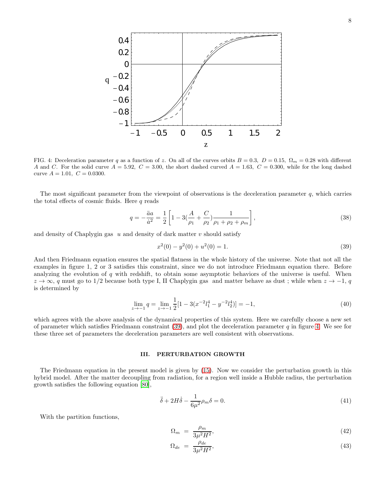

<span id="page-7-1"></span>FIG. 4: Deceleration parameter q as a function of z. On all of the curves orbits  $B = 0.3$ ,  $D = 0.15$ ,  $\Omega_m = 0.28$  with different A and C. For the solid curve  $A = 5.92$ ,  $C = 3.00$ , the short dashed curved  $A = 1.63$ ,  $C = 0.300$ , while for the long dashed curve  $A = 1.01, C = 0.0300$ .

The most significant parameter from the viewpoint of observations is the deceleration parameter  $q$ , which carries the total effects of cosmic fluids. Here  $q$  reads

$$
q = -\frac{\ddot{a}a}{\dot{a}^2} = \frac{1}{2} \left[ 1 - 3\left(\frac{A}{\rho_1} + \frac{C}{\rho_2}\right) \frac{1}{\rho_1 + \rho_2 + \rho_m} \right],\tag{38}
$$

and density of Chaplygin gas  $u$  and density of dark matter  $v$  should satisfy

<span id="page-7-0"></span>
$$
x^2(0) - y^2(0) + u^2(0) = 1.
$$
\n(39)

And then Friedmann equation ensures the spatial flatness in the whole history of the universe. Note that not all the examples in figure 1, 2 or 3 satisfies this constraint, since we do not introduce Friedmann equation there. Before analyzing the evolution of  $q$  with redshift, to obtain some asymptotic behaviors of the universe is useful. When  $z \to \infty$ , q must go to 1/2 because both type I, II Chaplygin gas and matter behave as dust; while when  $z \to -1$ , q is determined by

$$
\lim_{z \to -1} q = \lim_{z \to -1} \frac{1}{2} [1 - 3(x^{-2} l_1^4 - y^{-2} l_2^4)] = -1,
$$
\n(40)

which agrees with the above analysis of the dynamical properties of this system. Here we carefully choose a new set of parameter which satisfies Friedmann constraint [\(39\)](#page-7-0), and plot the deceleration parameter  $q$  in figure [4.](#page-7-1) We see for these three set of parameters the deceleration parameters are well consistent with observations.

## III. PERTURBATION GROWTH

The Friedmann equation in the present model is given by [\(15\)](#page-4-1). Now we consider the perturbation growth in this hybrid model. After the matter decoupling from radiation, for a region well inside a Hubble radius, the perturbation growth satisfies the following equation [\[80\]](#page-10-28),

<span id="page-7-2"></span>
$$
\ddot{\delta} + 2H\dot{\delta} - \frac{1}{6\mu^2}\rho_m\delta = 0.
$$
\n(41)

With the partition functions,

$$
\Omega_m = \frac{\rho_m}{3\mu^2 H^2},\tag{42}
$$

$$
\Omega_{de} = \frac{\rho_{de}}{3\mu^2 H^2},\tag{43}
$$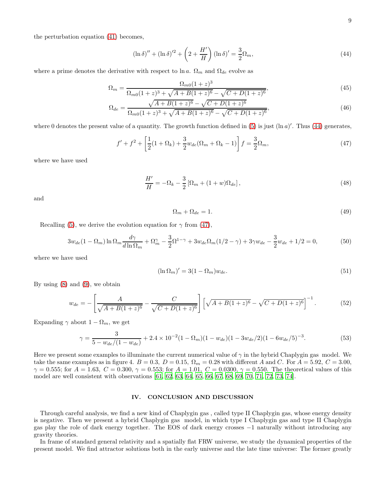the perturbation equation [\(41\)](#page-7-2) becomes,

<span id="page-8-0"></span>
$$
(\ln \delta)'' + (\ln \delta)^{'2} + \left(2 + \frac{H'}{H}\right)(\ln \delta)' = \frac{3}{2}\Omega_m,
$$
\n(44)

where a prime denotes the derivative with respect to ln a.  $\Omega_m$  and  $\Omega_{de}$  evolve as

$$
\Omega_m = \frac{\Omega_{m0}(1+z)^3}{\Omega_{m0}(1+z)^3 + \sqrt{A+B(1+z)^6} - \sqrt{C+D(1+z)^6}},\tag{45}
$$

$$
\Omega_{de} = \frac{\sqrt{A+B(1+z)^6} - \sqrt{C+D(1+z)^6}}{\Omega_{m0}(1+z)^3 + \sqrt{A+B(1+z)^6} - \sqrt{C+D(1+z)^6}},\tag{46}
$$

where 0 denotes the present value of a quantity. The growth function defined in  $(5)$  is just  $(\ln a)'$ . Thus  $(44)$  generates,

<span id="page-8-1"></span>
$$
f' + f^{2} + \left[\frac{1}{2}(1+\Omega_{k}) + \frac{3}{2}w_{de}(\Omega_{m} + \Omega_{k} - 1)\right]f = \frac{3}{2}\Omega_{m},\tag{47}
$$

where we have used

$$
\frac{H'}{H} = -\Omega_k - \frac{3}{2} \left[ \Omega_m + (1+w)\Omega_{de} \right],\tag{48}
$$

and

$$
\Omega_m + \Omega_{de} = 1. \tag{49}
$$

Recalling [\(5\)](#page-1-0), we derive the evolution equation for  $\gamma$  from [\(47\)](#page-8-1),

$$
3w_{de}(1 - \Omega_m) \ln \Omega_m \frac{d\gamma}{d\ln \Omega_m} + \Omega_m^{\gamma} - \frac{3}{2} \Omega^{1 - \gamma} + 3w_{de} \Omega_m (1/2 - \gamma) + 3\gamma w_{de} - \frac{3}{2} w_{de} + 1/2 = 0, \tag{50}
$$

where we have used

$$
(\ln \Omega_m)' = 3(1 - \Omega_m)w_{de}.\tag{51}
$$

By using  $(8)$  and  $(9)$ , we obtain

$$
w_{de} = -\left[\frac{A}{\sqrt{A+B(1+z)^{6}}} - \frac{C}{\sqrt{C+D(1+z)^{6}}}\right] \left[\sqrt{A+B(1+z)^{6}} - \sqrt{C+D(1+z)^{6}}\right]^{-1}.
$$
 (52)

Expanding  $\gamma$  about  $1 - \Omega_m$ , we get

$$
\gamma = \frac{3}{5 - w_{de}/(1 - w_{de})} + 2.4 \times 10^{-2} (1 - \Omega_m)(1 - w_{de})(1 - 3w_{de}/2)(1 - 6w_{de}/5)^{-3}.
$$
 (53)

Here we present some examples to illuminate the current numerical value of  $\gamma$  in the hybrid Chaplygin gas model. We take the same examples as in figure 4.  $B = 0.3$ ,  $D = 0.15$ ,  $\Omega_m = 0.28$  with different A and C. For  $A = 5.92$ ,  $C = 3.00$ ,  $\gamma = 0.555$ ; for  $A = 1.63$ ,  $C = 0.300$ ,  $\gamma = 0.553$ ; for  $A = 1.01$ ,  $C = 0.0300$ ,  $\gamma = 0.550$ . The theoretical values of this model are well consistent with observations [\[61](#page-10-9), [62](#page-10-10), [63](#page-10-11), [64](#page-10-12), [65](#page-10-13), [66](#page-10-14), [67](#page-10-15), [68,](#page-10-16) [69,](#page-10-17) [70,](#page-10-18) [71,](#page-10-19) [72,](#page-10-20) [73,](#page-10-21) [74\]](#page-10-22).

#### IV. CONCLUSION AND DISCUSSION

Through careful analysis, we find a new kind of Chaplygin gas , called type II Chaplygin gas, whose energy density is negative. Then we present a hybrid Chaplygin gas model, in which type I Chaplygin gas and type II Chaplygin gas play the role of dark energy together. The EOS of dark energy crosses −1 naturally without introducing any gravity theories.

In frame of standard general relativity and a spatially flat FRW universe, we study the dynamical properties of the present model. We find attractor solutions both in the early universe and the late time universe: The former greatly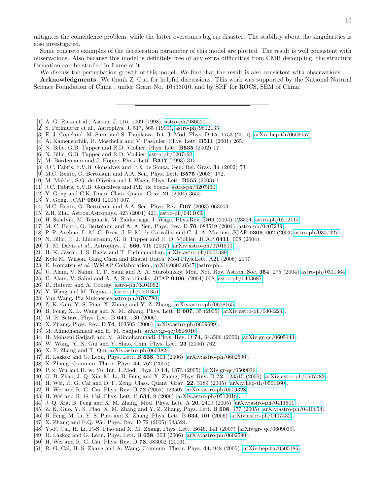mitigates the coincidence problem, while the latter overcomes big rip disaster. The stability about the singularities is also investigated.

Some concrete examples of the deceleration parameter of this model are plotted. The result is well consistent with observations. Also because this model is definitely free of any extra difficulties from CMB decoupling, the structure formation can be studied in frame of it.

We discuss the perturbation growth of this model. We find that the result is also consistent with observations.

Acknowledgments. We thank Z. Guo for helpful discussions. This work was supported by the National Natural Science Foundation of China , under Grant No. 10533010, and by SRF for ROCS, SEM of China.

- <span id="page-9-0"></span>[1] A. G. Riess et al., Astron. J. 116, 1009 (1998), [astro-ph/9805201.](http://arxiv.org/abs/astro-ph/9805201)
- <span id="page-9-1"></span>[2] S. Perlmutter et al., Astrophys. J. 517, 565 (1999), [astro-ph/9812133.](http://arxiv.org/abs/astro-ph/9812133)
- <span id="page-9-2"></span>[3] E. J. Copeland, M. Sami and S. Tsujikawa, Int. J. Mod. Phys. D 15, 1753 (2006) [\[arXiv:hep-th/0603057\]](http://arxiv.org/abs/hep-th/0603057).
- <span id="page-9-3"></span>[4] A. Kamenshchik, U. Moschella and V. Pasquier, Phys. Lett. **B511** (2001) 265.
- <span id="page-9-4"></span>[5] N. Bilic, G.B. Tupper and R.D. Viollier, Phys. Lett. B535 (2002) 17.
- <span id="page-9-5"></span>[6] N. Bilic, G.B. Tupper and R.D. Viollier, [astro-ph/0207423.](http://arxiv.org/abs/astro-ph/0207423)
- <span id="page-9-6"></span>[7] M. Bordemann and J. Hoppe, Phys. Lett. B317 (1993) 315.
- <span id="page-9-7"></span>[8] J.C. Fabris, S.V.B. Gonsalves and P.E. de Souza, Gen. Rel. Grav. 34 (2002) 53.
- <span id="page-9-8"></span>[9] M.C. Bento, O. Bertolami and A.A. Sen, Phys. Lett. B575 (2003) 172.
- <span id="page-9-9"></span>[10] M. Makler, S.Q. de Oliveira and I. Waga, Phys. Lett. B555 (2003) 1.
- <span id="page-9-10"></span>[11] J.C. Fabris, S.V.B. Goncalves and P.E. de Souza, [astro-ph/0207430.](http://arxiv.org/abs/astro-ph/0207430)
- <span id="page-9-11"></span>[12] Y. Gong and C.K. Duan, Class. Quant. Grav. 21 (2004) 3655.
- <span id="page-9-12"></span>[13] Y. Gong, JCAP **0503** (2005) 007.
- <span id="page-9-13"></span>[14] M.C. Bento, O. Bertolami and A.A. Sen, Phys. Rev. D67 (2003) 063003.
- <span id="page-9-14"></span>[15] Z.H. Zhu, Astron.Astrophys. 423 (2004) 421, [astro-ph/0411039.](http://arxiv.org/abs/astro-ph/0411039)
- <span id="page-9-15"></span>[16] H. Sandvik, M. Tegmark, M. Zaldarriaga, I. Waga, Phys.Rev. D69 (2004) 123524, [astro-ph/0212114.](http://arxiv.org/abs/astro-ph/0212114)
- <span id="page-9-16"></span>[17] M. C. Bento, O. Bertolami and A. A. Sen, Phys. Rev. D 70, 083519 (2004) [,astro-ph/0407239.](http://arxiv.org/abs/astro-ph/0407239)
- <span id="page-9-17"></span>[18] P. P. Avelino, L. M. G. Beca, J. P. M. de Carvalho and C. J. A. Martins, JCAP 0309, 002 (2003)[,astro-ph/0307427.](http://arxiv.org/abs/astro-ph/0307427)
- <span id="page-9-18"></span>[19] N. Bilic, R. J. Lindebaum, G. B. Tupper and R. D. Viollier, JCAP 0411, 008 (2004).
- <span id="page-9-19"></span>[20] T. M. Davis et al., Astrophys. J. 666, 716 (2007)  $arXiv:astro-ph/0701510$ .
- <span id="page-9-20"></span>[21] H. K. Jassal, J. S. Bagla and T. Padmanabhan, [arXiv:astro-ph/0601389.](http://arxiv.org/abs/astro-ph/0601389)
- <span id="page-9-21"></span>[22] Kyle M. Wilson, Gang Chen and Bharat Ratra, Mod.Phys.Lett. A21 (2006) 2197.
- <span id="page-9-22"></span>[23] E. Komatsu et al. [WMAP Collaboration], [arXiv:0803.0547](http://arxiv.org/abs/0803.0547) [astro-ph].
- <span id="page-9-23"></span>[24] U. Alam, V. Sahni, T. D. Saini and A. A. Starobinsky, Mon. Not. Roy. Astron. Soc. 354, 275 (2004) [astro-ph/0311364](http://arxiv.org/abs/astro-ph/0311364)
- <span id="page-9-24"></span>[25] U. Alam, V. Sahni and A. A. Starobinsky, JCAP 0406, (2004) 008, [astro-ph/0403687.](http://arxiv.org/abs/astro-ph/0403687)
- <span id="page-9-26"></span><span id="page-9-25"></span>[26] D. Huterer and A. Cooray, [astro-ph/0404062.](http://arxiv.org/abs/astro-ph/0404062)
- <span id="page-9-27"></span>
- <span id="page-9-28"></span>[29] Z. K. Guo, Y. S. Piao, X. Zhang and Y. Z. Zhang, [arXiv:astro-ph/0608165.](http://arxiv.org/abs/astro-ph/0608165)
- <span id="page-9-29"></span>[30] B. Feng, X. L. Wang and X. M. Zhang, Phys. Lett. B 607, 35 (2005) [\[arXiv:astro-ph/0404224\]](http://arxiv.org/abs/astro-ph/0404224).
- <span id="page-9-30"></span>[31] M. R. Setare, Phys. Lett. B 641, 130 (2006).
- <span id="page-9-31"></span>[32] X. Zhang, Phys. Rev. D 74, 103505 (2006) [\[arXiv:astro-ph/0609699\]](http://arxiv.org/abs/astro-ph/0609699).
- <span id="page-9-32"></span>[33] M. Alimohammadi and H. M. Sadjadi, [arXiv:gr-qc/0608016.](http://arxiv.org/abs/gr-qc/0608016)
- <span id="page-9-33"></span>[34] H. Mohseni Sadjadi and M. Alimohammadi, Phys. Rev. D 74, 043506 (2006) [\[arXiv:gr-qc/0605143\]](http://arxiv.org/abs/gr-qc/0605143).
- <span id="page-9-34"></span>[35] W. Wang, Y. X. Gui and Y. Shao, Chin. Phys. Lett. 23 (2006) 762.
- <span id="page-9-35"></span>[36] X. F. Zhang and T. Qiu, [arXiv:astro-ph/0603824.](http://arxiv.org/abs/astro-ph/0603824)
- <span id="page-9-36"></span>[37] R. Lazkoz and G. Leon, Phys. Lett. B 638, 303 (2006) [\[arXiv:astro-ph/0602590\]](http://arxiv.org/abs/astro-ph/0602590).
- <span id="page-9-37"></span>[38] X. Zhang, Commun. Theor. Phys. 44, 762 (2005).
- <span id="page-9-38"></span>[39] P. x. Wu and H. w. Yu, Int. J. Mod. Phys. D 14, 1873 (2005) [\[arXiv:gr-qc/0509036\]](http://arxiv.org/abs/gr-qc/0509036).
- <span id="page-9-39"></span>[40] G. B. Zhao, J. Q. Xia, M. Li, B. Feng and X. Zhang, Phys. Rev. D 72, 123515 (2005) [\[arXiv:astro-ph/0507482\]](http://arxiv.org/abs/astro-ph/0507482).
- <span id="page-9-40"></span>[41] H. Wei, R. G. Cai and D. F. Zeng, Class. Quant. Grav. 22, 3189 (2005) [\[arXiv:hep-th/0501160\]](http://arxiv.org/abs/hep-th/0501160).
- <span id="page-9-41"></span>[42] H. Wei and R. G. Cai, Phys. Rev. D 72 (2005) 123507 [\[arXiv:astro-ph/0509328\]](http://arxiv.org/abs/astro-ph/0509328).
- <span id="page-9-42"></span>[43] H. Wei and R. G. Cai, Phys. Lett. B 634, 9 (2006) [\[arXiv:astro-ph/0512018\]](http://arxiv.org/abs/astro-ph/0512018).
- <span id="page-9-43"></span>[44] J. Q. Xia, B. Feng and X. M. Zhang, Mod. Phys. Lett. A 20, 2409 (2005) [\[arXiv:astro-ph/0411501\]](http://arxiv.org/abs/astro-ph/0411501).
- <span id="page-9-44"></span>[45] Z. K. Guo, Y. S. Piao, X. M. Zhang and Y. Z. Zhang, Phys. Lett. B 608, 177 (2005) [\[arXiv:astro-ph/0410654\]](http://arxiv.org/abs/astro-ph/0410654).
- <span id="page-9-45"></span>[46] B. Feng, M. Li, Y. S. Piao and X. Zhang, Phys. Lett. B 634, 101 (2006) [\[arXiv:astro-ph/0407432\]](http://arxiv.org/abs/astro-ph/0407432).
- <span id="page-9-46"></span>[47] X. Zhang and F.Q. Wu, Phys. Rev. D 72 (2005) 043524.
- <span id="page-9-47"></span>[48] Y.-F. Cai, H. Li, P.-S. Piao and X. M. Zhang, Phys. Lett. B646, 141 (2007) [arXiv:gr- qc/0609039].
- <span id="page-9-48"></span>[49] R. Lazkoz and G. Leon, Phys. Lett. B 638, 303 (2006) [\[arXiv:astro-ph/0602590\]](http://arxiv.org/abs/astro-ph/0602590).
- <span id="page-9-49"></span>[50] H. Wei and R. G. Cai, Phys. Rev. D **73**, 083002 (2006).
- <span id="page-9-50"></span>[51] R. G. Cai, H. S. Zhang and A. Wang, Commun. Theor. Phys. 44, 948 (2005) [\[arXiv:hep-th/0505186\]](http://arxiv.org/abs/hep-th/0505186).
- [27] Y. Wang and M. Tegmark, [astro-ph/0501351.](http://arxiv.org/abs/astro-ph/0501351)
	- [28] Yun Wang, Pia Mukherjee[,astro-ph/0703780.](http://arxiv.org/abs/astro-ph/0703780)